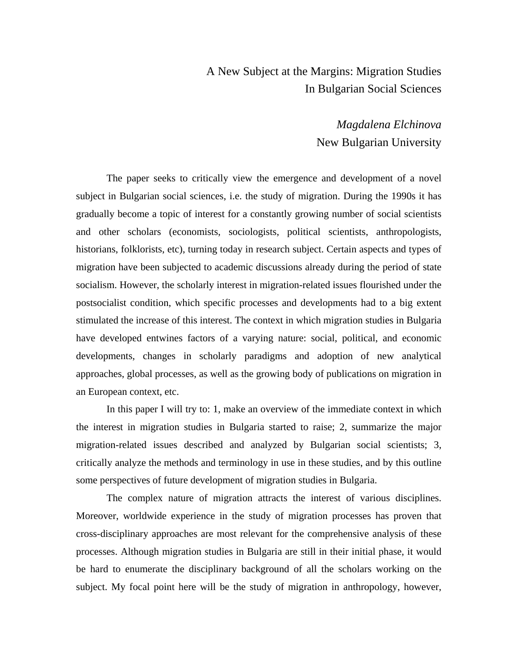# A New Subject at the Margins: Migration Studies In Bulgarian Social Sciences

*Magdalena Elchinova*  New Bulgarian University

The paper seeks to critically view the emergence and development of a novel subject in Bulgarian social sciences, i.e. the study of migration. During the 1990s it has gradually become a topic of interest for a constantly growing number of social scientists and other scholars (economists, sociologists, political scientists, anthropologists, historians, folklorists, etc), turning today in research subject. Certain aspects and types of migration have been subjected to academic discussions already during the period of state socialism. However, the scholarly interest in migration-related issues flourished under the postsocialist condition, which specific processes and developments had to a big extent stimulated the increase of this interest. The context in which migration studies in Bulgaria have developed entwines factors of a varying nature: social, political, and economic developments, changes in scholarly paradigms and adoption of new analytical approaches, global processes, as well as the growing body of publications on migration in an European context, etc.

In this paper I will try to: 1, make an overview of the immediate context in which the interest in migration studies in Bulgaria started to raise; 2, summarize the major migration-related issues described and analyzed by Bulgarian social scientists; 3, critically analyze the methods and terminology in use in these studies, and by this outline some perspectives of future development of migration studies in Bulgaria.

The complex nature of migration attracts the interest of various disciplines. Moreover, worldwide experience in the study of migration processes has proven that cross-disciplinary approaches are most relevant for the comprehensive analysis of these processes. Although migration studies in Bulgaria are still in their initial phase, it would be hard to enumerate the disciplinary background of all the scholars working on the subject. My focal point here will be the study of migration in anthropology, however,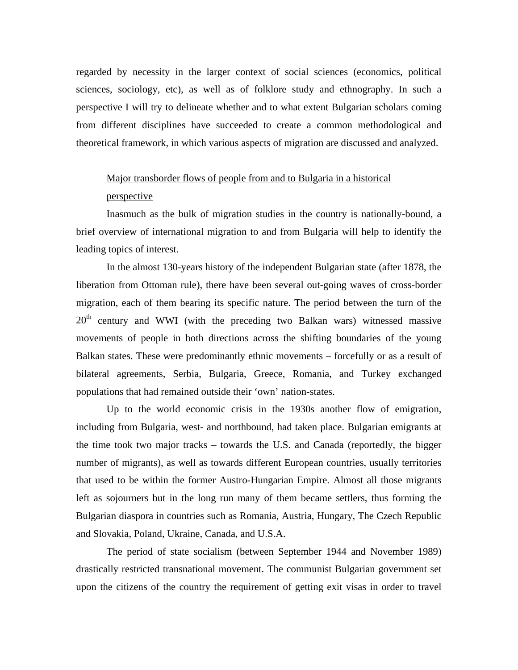regarded by necessity in the larger context of social sciences (economics, political sciences, sociology, etc), as well as of folklore study and ethnography. In such a perspective I will try to delineate whether and to what extent Bulgarian scholars coming from different disciplines have succeeded to create a common methodological and theoretical framework, in which various aspects of migration are discussed and analyzed.

## Major transborder flows of people from and to Bulgaria in a historical

#### perspective

Inasmuch as the bulk of migration studies in the country is nationally-bound, a brief overview of international migration to and from Bulgaria will help to identify the leading topics of interest.

In the almost 130-years history of the independent Bulgarian state (after 1878, the liberation from Ottoman rule), there have been several out-going waves of cross-border migration, each of them bearing its specific nature. The period between the turn of the  $20<sup>th</sup>$  century and WWI (with the preceding two Balkan wars) witnessed massive movements of people in both directions across the shifting boundaries of the young Balkan states. These were predominantly ethnic movements – forcefully or as a result of bilateral agreements, Serbia, Bulgaria, Greece, Romania, and Turkey exchanged populations that had remained outside their 'own' nation-states.

Up to the world economic crisis in the 1930s another flow of emigration, including from Bulgaria, west- and northbound, had taken place. Bulgarian emigrants at the time took two major tracks – towards the U.S. and Canada (reportedly, the bigger number of migrants), as well as towards different European countries, usually territories that used to be within the former Austro-Hungarian Empire. Almost all those migrants left as sojourners but in the long run many of them became settlers, thus forming the Bulgarian diaspora in countries such as Romania, Austria, Hungary, The Czech Republic and Slovakia, Poland, Ukraine, Canada, and U.S.A.

The period of state socialism (between September 1944 and November 1989) drastically restricted transnational movement. The communist Bulgarian government set upon the citizens of the country the requirement of getting exit visas in order to travel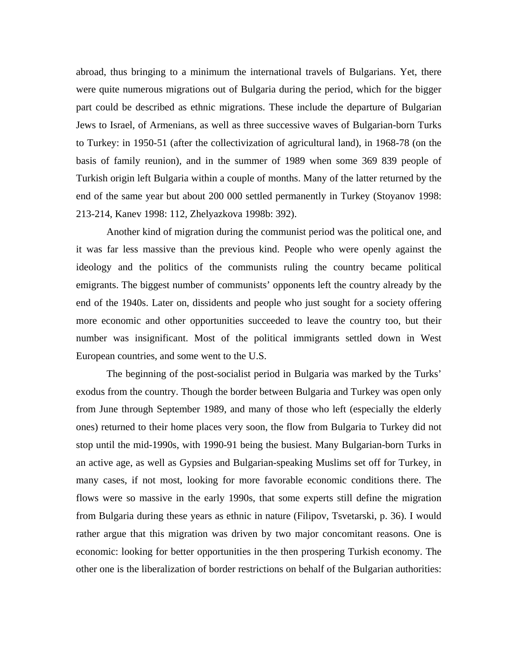abroad, thus bringing to a minimum the international travels of Bulgarians. Yet, there were quite numerous migrations out of Bulgaria during the period, which for the bigger part could be described as ethnic migrations. These include the departure of Bulgarian Jews to Israel, of Armenians, as well as three successive waves of Bulgarian-born Turks to Turkey: in 1950-51 (after the collectivization of agricultural land), in 1968-78 (on the basis of family reunion), and in the summer of 1989 when some 369 839 people of Turkish origin left Bulgaria within a couple of months. Many of the latter returned by the end of the same year but about 200 000 settled permanently in Turkey (Stoyanov 1998: 213-214, Kanev 1998: 112, Zhelyazkova 1998b: 392).

Another kind of migration during the communist period was the political one, and it was far less massive than the previous kind. People who were openly against the ideology and the politics of the communists ruling the country became political emigrants. The biggest number of communists' opponents left the country already by the end of the 1940s. Later on, dissidents and people who just sought for a society offering more economic and other opportunities succeeded to leave the country too, but their number was insignificant. Most of the political immigrants settled down in West European countries, and some went to the U.S.

The beginning of the post-socialist period in Bulgaria was marked by the Turks' exodus from the country. Though the border between Bulgaria and Turkey was open only from June through September 1989, and many of those who left (especially the elderly ones) returned to their home places very soon, the flow from Bulgaria to Turkey did not stop until the mid-1990s, with 1990-91 being the busiest. Many Bulgarian-born Turks in an active age, as well as Gypsies and Bulgarian-speaking Muslims set off for Turkey, in many cases, if not most, looking for more favorable economic conditions there. The flows were so massive in the early 1990s, that some experts still define the migration from Bulgaria during these years as ethnic in nature (Filipov, Tsvetarski, p. 36). I would rather argue that this migration was driven by two major concomitant reasons. One is economic: looking for better opportunities in the then prospering Turkish economy. The other one is the liberalization of border restrictions on behalf of the Bulgarian authorities: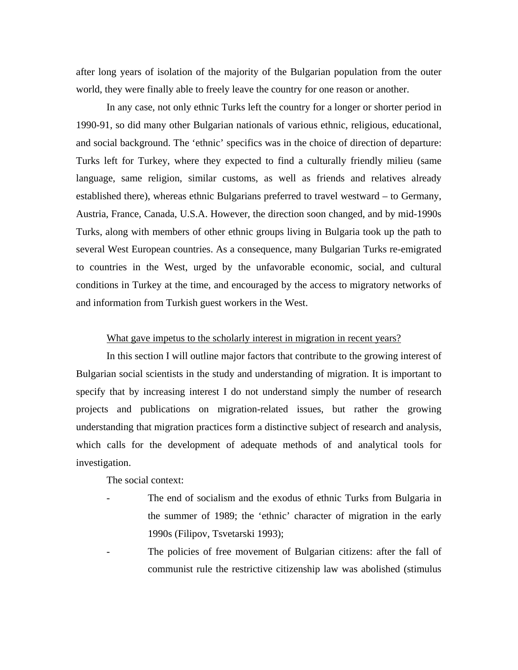after long years of isolation of the majority of the Bulgarian population from the outer world, they were finally able to freely leave the country for one reason or another.

In any case, not only ethnic Turks left the country for a longer or shorter period in 1990-91, so did many other Bulgarian nationals of various ethnic, religious, educational, and social background. The 'ethnic' specifics was in the choice of direction of departure: Turks left for Turkey, where they expected to find a culturally friendly milieu (same language, same religion, similar customs, as well as friends and relatives already established there), whereas ethnic Bulgarians preferred to travel westward – to Germany, Austria, France, Canada, U.S.A. However, the direction soon changed, and by mid-1990s Turks, along with members of other ethnic groups living in Bulgaria took up the path to several West European countries. As a consequence, many Bulgarian Turks re-emigrated to countries in the West, urged by the unfavorable economic, social, and cultural conditions in Turkey at the time, and encouraged by the access to migratory networks of and information from Turkish guest workers in the West.

### What gave impetus to the scholarly interest in migration in recent years?

In this section I will outline major factors that contribute to the growing interest of Bulgarian social scientists in the study and understanding of migration. It is important to specify that by increasing interest I do not understand simply the number of research projects and publications on migration-related issues, but rather the growing understanding that migration practices form a distinctive subject of research and analysis, which calls for the development of adequate methods of and analytical tools for investigation.

The social context:

- The end of socialism and the exodus of ethnic Turks from Bulgaria in the summer of 1989; the 'ethnic' character of migration in the early 1990s (Filipov, Tsvetarski 1993);
- The policies of free movement of Bulgarian citizens: after the fall of communist rule the restrictive citizenship law was abolished (stimulus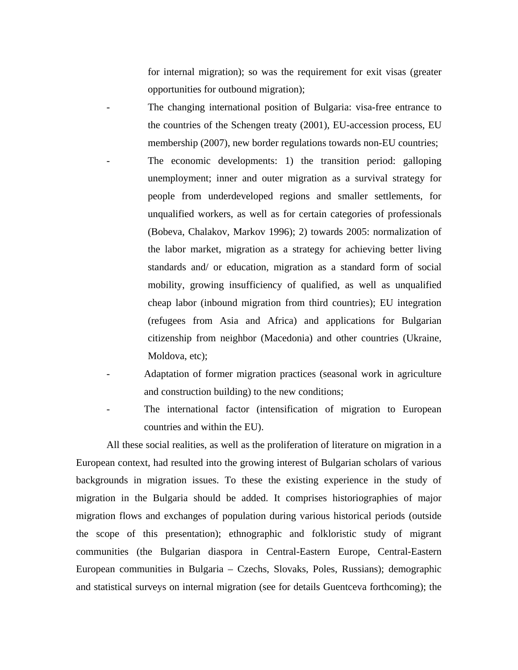for internal migration); so was the requirement for exit visas (greater opportunities for outbound migration);

The changing international position of Bulgaria: visa-free entrance to the countries of the Schengen treaty (2001), EU-accession process, EU membership (2007), new border regulations towards non-EU countries;

- The economic developments: 1) the transition period: galloping unemployment; inner and outer migration as a survival strategy for people from underdeveloped regions and smaller settlements, for unqualified workers, as well as for certain categories of professionals (Bobeva, Chalakov, Markov 1996); 2) towards 2005: normalization of the labor market, migration as a strategy for achieving better living standards and/ or education, migration as a standard form of social mobility, growing insufficiency of qualified, as well as unqualified cheap labor (inbound migration from third countries); EU integration (refugees from Asia and Africa) and applications for Bulgarian citizenship from neighbor (Macedonia) and other countries (Ukraine, Moldova, etc);
- Adaptation of former migration practices (seasonal work in agriculture and construction building) to the new conditions;
- The international factor (intensification of migration to European countries and within the EU).

All these social realities, as well as the proliferation of literature on migration in a European context, had resulted into the growing interest of Bulgarian scholars of various backgrounds in migration issues. To these the existing experience in the study of migration in the Bulgaria should be added. It comprises historiographies of major migration flows and exchanges of population during various historical periods (outside the scope of this presentation); ethnographic and folkloristic study of migrant communities (the Bulgarian diaspora in Central-Eastern Europe, Central-Eastern European communities in Bulgaria – Czechs, Slovaks, Poles, Russians); demographic and statistical surveys on internal migration (see for details Guentceva forthcoming); the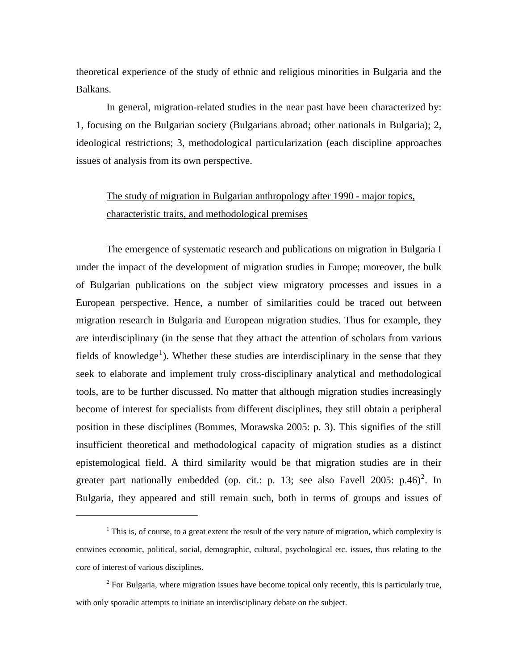theoretical experience of the study of ethnic and religious minorities in Bulgaria and the Balkans.

In general, migration-related studies in the near past have been characterized by: 1, focusing on the Bulgarian society (Bulgarians abroad; other nationals in Bulgaria); 2, ideological restrictions; 3, methodological particularization (each discipline approaches issues of analysis from its own perspective.

# The study of migration in Bulgarian anthropology after 1990 - major topics, characteristic traits, and methodological premises

The emergence of systematic research and publications on migration in Bulgaria I under the impact of the development of migration studies in Europe; moreover, the bulk of Bulgarian publications on the subject view migratory processes and issues in a European perspective. Hence, a number of similarities could be traced out between migration research in Bulgaria and European migration studies. Thus for example, they are interdisciplinary (in the sense that they attract the attention of scholars from various fields of knowledge<sup>[1](#page-5-0)</sup>). Whether these studies are interdisciplinary in the sense that they seek to elaborate and implement truly cross-disciplinary analytical and methodological tools, are to be further discussed. No matter that although migration studies increasingly become of interest for specialists from different disciplines, they still obtain a peripheral position in these disciplines (Bommes, Morawska 2005: p. 3). This signifies of the still insufficient theoretical and methodological capacity of migration studies as a distinct epistemological field. A third similarity would be that migration studies are in their greater part nationally embedded (op. cit.: p. 13; see also Favell [2](#page-5-1)005: p.46)<sup>2</sup>. In Bulgaria, they appeared and still remain such, both in terms of groups and issues of

1

<span id="page-5-0"></span> $1$  This is, of course, to a great extent the result of the very nature of migration, which complexity is entwines economic, political, social, demographic, cultural, psychological etc. issues, thus relating to the core of interest of various disciplines.

<span id="page-5-1"></span> $2^2$  For Bulgaria, where migration issues have become topical only recently, this is particularly true, with only sporadic attempts to initiate an interdisciplinary debate on the subject.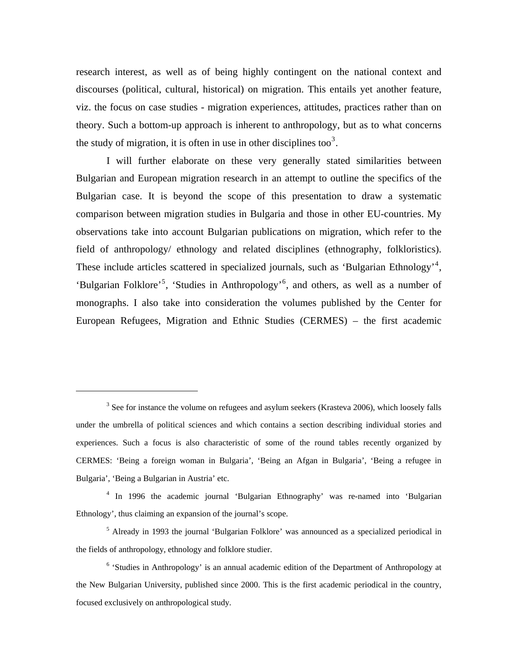research interest, as well as of being highly contingent on the national context and discourses (political, cultural, historical) on migration. This entails yet another feature, viz. the focus on case studies - migration experiences, attitudes, practices rather than on theory. Such a bottom-up approach is inherent to anthropology, but as to what concerns the study of migration, it is often in use in other disciplines too<sup>3</sup>.

I will further elaborate on these very generally stated similarities between Bulgarian and European migration research in an attempt to outline the specifics of the Bulgarian case. It is beyond the scope of this presentation to draw a systematic comparison between migration studies in Bulgaria and those in other EU-countries. My observations take into account Bulgarian publications on migration, which refer to the field of anthropology/ ethnology and related disciplines (ethnography, folkloristics). These include articles scattered in specialized journals, such as 'Bulgarian Ethnology'<sup>[4](#page-6-0)</sup>, 'Bulgarian Folklore'[5](#page-6-1) , 'Studies in Anthropology'[6](#page-6-2) , and others, as well as a number of monographs. I also take into consideration the volumes published by the Center for European Refugees, Migration and Ethnic Studies (CERMES) – the first academic

 $3$  See for instance the volume on refugees and asylum seekers (Krasteva 2006), which loosely falls under the umbrella of political sciences and which contains a section describing individual stories and experiences. Such a focus is also characteristic of some of the round tables recently organized by CERMES: 'Being a foreign woman in Bulgaria', 'Being an Afgan in Bulgaria', 'Being a refugee in Bulgaria', 'Being a Bulgarian in Austria' etc.

<span id="page-6-0"></span><sup>&</sup>lt;sup>4</sup> In 1996 the academic journal 'Bulgarian Ethnography' was re-named into 'Bulgarian Ethnology', thus claiming an expansion of the journal's scope.

<span id="page-6-1"></span><sup>&</sup>lt;sup>5</sup> Already in 1993 the journal 'Bulgarian Folklore' was announced as a specialized periodical in the fields of anthropology, ethnology and folklore studier.

<span id="page-6-2"></span><sup>&</sup>lt;sup>6</sup> 'Studies in Anthropology' is an annual academic edition of the Department of Anthropology at the New Bulgarian University, published since 2000. This is the first academic periodical in the country, focused exclusively on anthropological study.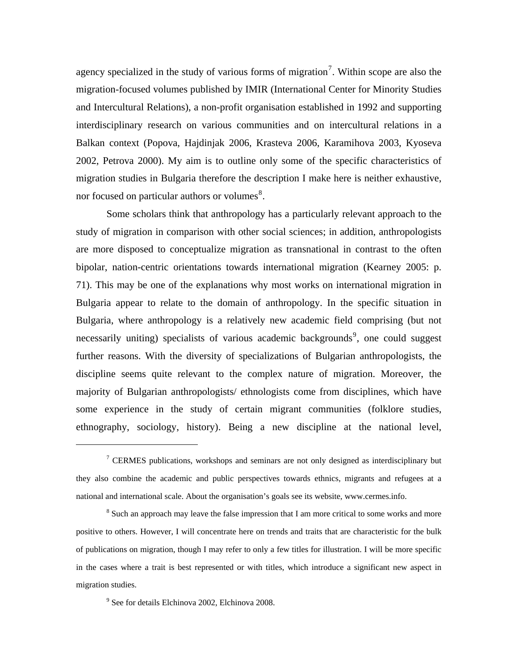agency specialized in the study of various forms of migration<sup>[7](#page-7-0)</sup>. Within scope are also the migration-focused volumes published by IMIR (International Center for Minority Studies and Intercultural Relations), a non-profit organisation established in 1992 and supporting interdisciplinary research on various communities and on intercultural relations in a Balkan context (Popova, Hajdinjak 2006, Krasteva 2006, Karamihova 2003, Kyoseva 2002, Petrova 2000). My aim is to outline only some of the specific characteristics of migration studies in Bulgaria therefore the description I make here is neither exhaustive, nor focused on particular authors or volumes $^{8}$  $^{8}$  $^{8}$ .

Some scholars think that anthropology has a particularly relevant approach to the study of migration in comparison with other social sciences; in addition, anthropologists are more disposed to conceptualize migration as transnational in contrast to the often bipolar, nation-centric orientations towards international migration (Kearney 2005: p. 71). This may be one of the explanations why most works on international migration in Bulgaria appear to relate to the domain of anthropology. In the specific situation in Bulgaria, where anthropology is a relatively new academic field comprising (but not necessarily uniting) specialists of various academic backgrounds<sup>[9](#page-7-2)</sup>, one could suggest further reasons. With the diversity of specializations of Bulgarian anthropologists, the discipline seems quite relevant to the complex nature of migration. Moreover, the majority of Bulgarian anthropologists/ ethnologists come from disciplines, which have some experience in the study of certain migrant communities (folklore studies, ethnography, sociology, history). Being a new discipline at the national level,

<span id="page-7-0"></span><sup>&</sup>lt;sup>7</sup> CERMES publications, workshops and seminars are not only designed as interdisciplinary but they also combine the academic and public perspectives towards ethnics, migrants and refugees at a national and international scale. About the organisation's goals see its website, www.cermes.info.

<span id="page-7-1"></span><sup>&</sup>lt;sup>8</sup> Such an approach may leave the false impression that I am more critical to some works and more positive to others. However, I will concentrate here on trends and traits that are characteristic for the bulk of publications on migration, though I may refer to only a few titles for illustration. I will be more specific in the cases where a trait is best represented or with titles, which introduce a significant new aspect in migration studies.

<span id="page-7-2"></span><sup>9</sup> See for details Elchinova 2002, Elchinova 2008.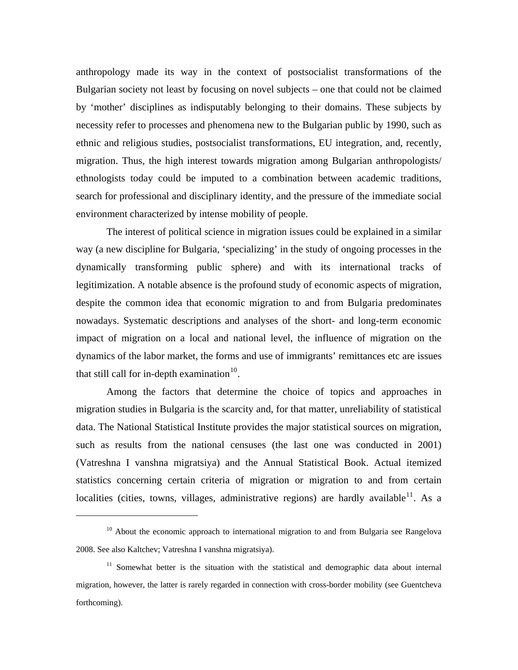anthropology made its way in the context of postsocialist transformations of the Bulgarian society not least by focusing on novel subjects – one that could not be claimed by 'mother' disciplines as indisputably belonging to their domains. These subjects by necessity refer to processes and phenomena new to the Bulgarian public by 1990, such as ethnic and religious studies, postsocialist transformations, EU integration, and, recently, migration. Thus, the high interest towards migration among Bulgarian anthropologists/ ethnologists today could be imputed to a combination between academic traditions, search for professional and disciplinary identity, and the pressure of the immediate social environment characterized by intense mobility of people.

The interest of political science in migration issues could be explained in a similar way (a new discipline for Bulgaria, 'specializing' in the study of ongoing processes in the dynamically transforming public sphere) and with its international tracks of legitimization. A notable absence is the profound study of economic aspects of migration, despite the common idea that economic migration to and from Bulgaria predominates nowadays. Systematic descriptions and analyses of the short- and long-term economic impact of migration on a local and national level, the influence of migration on the dynamics of the labor market, the forms and use of immigrants' remittances etc are issues that still call for in-depth examination $10$ .

Among the factors that determine the choice of topics and approaches in migration studies in Bulgaria is the scarcity and, for that matter, unreliability of statistical data. The National Statistical Institute provides the major statistical sources on migration, such as results from the national censuses (the last one was conducted in 2001) (Vatreshna I vanshna migratsiya) and the Annual Statistical Book. Actual itemized statistics concerning certain criteria of migration or migration to and from certain localities (cities, towns, villages, administrative regions) are hardly available  $11$ . As a

1

<span id="page-8-0"></span> $10$  About the economic approach to international migration to and from Bulgaria see Rangelova 2008. See also Kaltchev; Vatreshna I vanshna migratsiya).

<span id="page-8-1"></span> $11$  Somewhat better is the situation with the statistical and demographic data about internal migration, however, the latter is rarely regarded in connection with cross-border mobility (see Guentcheva forthcoming).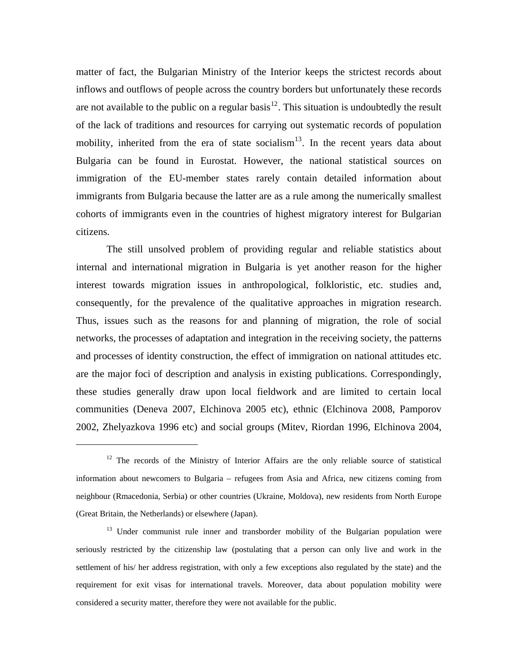matter of fact, the Bulgarian Ministry of the Interior keeps the strictest records about inflows and outflows of people across the country borders but unfortunately these records are not available to the public on a regular basis<sup>[12](#page-9-0)</sup>. This situation is undoubtedly the result of the lack of traditions and resources for carrying out systematic records of population mobility, inherited from the era of state socialism<sup>[13](#page-9-1)</sup>. In the recent years data about Bulgaria can be found in Eurostat. However, the national statistical sources on immigration of the EU-member states rarely contain detailed information about immigrants from Bulgaria because the latter are as a rule among the numerically smallest cohorts of immigrants even in the countries of highest migratory interest for Bulgarian citizens.

The still unsolved problem of providing regular and reliable statistics about internal and international migration in Bulgaria is yet another reason for the higher interest towards migration issues in anthropological, folkloristic, etc. studies and, consequently, for the prevalence of the qualitative approaches in migration research. Thus, issues such as the reasons for and planning of migration, the role of social networks, the processes of adaptation and integration in the receiving society, the patterns and processes of identity construction, the effect of immigration on national attitudes etc. are the major foci of description and analysis in existing publications. Correspondingly, these studies generally draw upon local fieldwork and are limited to certain local communities (Deneva 2007, Elchinova 2005 etc), ethnic (Elchinova 2008, Pamporov 2002, Zhelyazkova 1996 etc) and social groups (Mitev, Riordan 1996, Elchinova 2004,

<span id="page-9-0"></span> $12$  The records of the Ministry of Interior Affairs are the only reliable source of statistical information about newcomers to Bulgaria – refugees from Asia and Africa, new citizens coming from neighbour (Rmacedonia, Serbia) or other countries (Ukraine, Moldova), new residents from North Europe (Great Britain, the Netherlands) or elsewhere (Japan).

<span id="page-9-1"></span><sup>&</sup>lt;sup>13</sup> Under communist rule inner and transborder mobility of the Bulgarian population were seriously restricted by the citizenship law (postulating that a person can only live and work in the settlement of his/ her address registration, with only a few exceptions also regulated by the state) and the requirement for exit visas for international travels. Moreover, data about population mobility were considered a security matter, therefore they were not available for the public.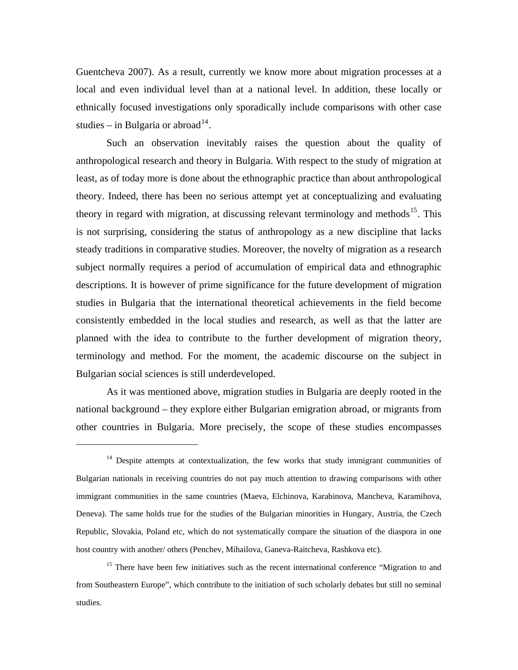Guentcheva 2007). As a result, currently we know more about migration processes at a local and even individual level than at a national level. In addition, these locally or ethnically focused investigations only sporadically include comparisons with other case studies – in Bulgaria or abroad<sup>[14](#page-10-0)</sup>.

Such an observation inevitably raises the question about the quality of anthropological research and theory in Bulgaria. With respect to the study of migration at least, as of today more is done about the ethnographic practice than about anthropological theory. Indeed, there has been no serious attempt yet at conceptualizing and evaluating theory in regard with migration, at discussing relevant terminology and methods<sup>[15](#page-10-1)</sup>. This is not surprising, considering the status of anthropology as a new discipline that lacks steady traditions in comparative studies. Moreover, the novelty of migration as a research subject normally requires a period of accumulation of empirical data and ethnographic descriptions. It is however of prime significance for the future development of migration studies in Bulgaria that the international theoretical achievements in the field become consistently embedded in the local studies and research, as well as that the latter are planned with the idea to contribute to the further development of migration theory, terminology and method. For the moment, the academic discourse on the subject in Bulgarian social sciences is still underdeveloped.

As it was mentioned above, migration studies in Bulgaria are deeply rooted in the national background – they explore either Bulgarian emigration abroad, or migrants from other countries in Bulgaria. More precisely, the scope of these studies encompasses

1

<span id="page-10-1"></span><sup>15</sup> There have been few initiatives such as the recent international conference "Migration to and from Southeastern Europe", which contribute to the initiation of such scholarly debates but still no seminal studies.

<span id="page-10-0"></span> $14$  Despite attempts at contextualization, the few works that study immigrant communities of Bulgarian nationals in receiving countries do not pay much attention to drawing comparisons with other immigrant communities in the same countries (Maeva, Elchinova, Karabinova, Mancheva, Karamihova, Deneva). The same holds true for the studies of the Bulgarian minorities in Hungary, Austria, the Czech Republic, Slovakia, Poland etc, which do not systematically compare the situation of the diaspora in one host country with another/ others (Penchev, Mihailova, Ganeva-Raitcheva, Rashkova etc).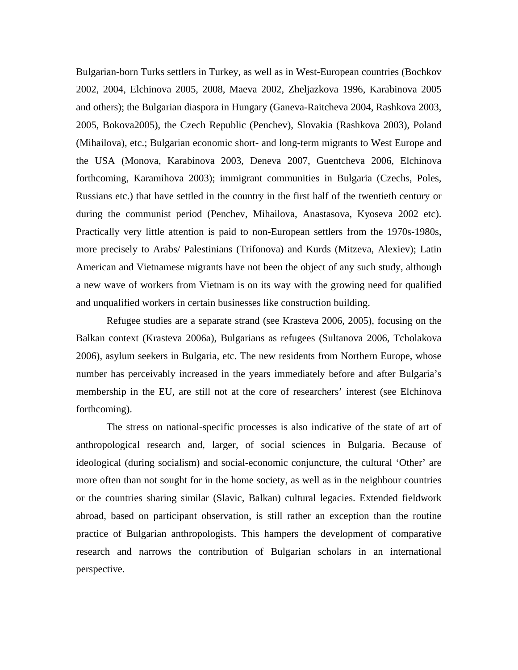Bulgarian-born Turks settlers in Turkey, as well as in West-European countries (Bochkov 2002, 2004, Elchinova 2005, 2008, Maeva 2002, Zheljazkova 1996, Karabinova 2005 and others); the Bulgarian diaspora in Hungary (Ganeva-Raitcheva 2004, Rashkova 2003, 2005, Bokova2005), the Czech Republic (Penchev), Slovakia (Rashkova 2003), Poland (Mihailova), etc.; Bulgarian economic short- and long-term migrants to West Europe and the USA (Monova, Karabinova 2003, Deneva 2007, Guentcheva 2006, Elchinova forthcoming, Karamihova 2003); immigrant communities in Bulgaria (Czechs, Poles, Russians etc.) that have settled in the country in the first half of the twentieth century or during the communist period (Penchev, Mihailova, Anastasova, Kyoseva 2002 etc). Practically very little attention is paid to non-European settlers from the 1970s-1980s, more precisely to Arabs/ Palestinians (Trifonova) and Kurds (Mitzeva, Alexiev); Latin American and Vietnamese migrants have not been the object of any such study, although a new wave of workers from Vietnam is on its way with the growing need for qualified and unqualified workers in certain businesses like construction building.

Refugee studies are a separate strand (see Krasteva 2006, 2005), focusing on the Balkan context (Krasteva 2006a), Bulgarians as refugees (Sultanova 2006, Tcholakova 2006), asylum seekers in Bulgaria, etc. The new residents from Northern Europe, whose number has perceivably increased in the years immediately before and after Bulgaria's membership in the EU, are still not at the core of researchers' interest (see Elchinova forthcoming).

The stress on national-specific processes is also indicative of the state of art of anthropological research and, larger, of social sciences in Bulgaria. Because of ideological (during socialism) and social-economic conjuncture, the cultural 'Other' are more often than not sought for in the home society, as well as in the neighbour countries or the countries sharing similar (Slavic, Balkan) cultural legacies. Extended fieldwork abroad, based on participant observation, is still rather an exception than the routine practice of Bulgarian anthropologists. This hampers the development of comparative research and narrows the contribution of Bulgarian scholars in an international perspective.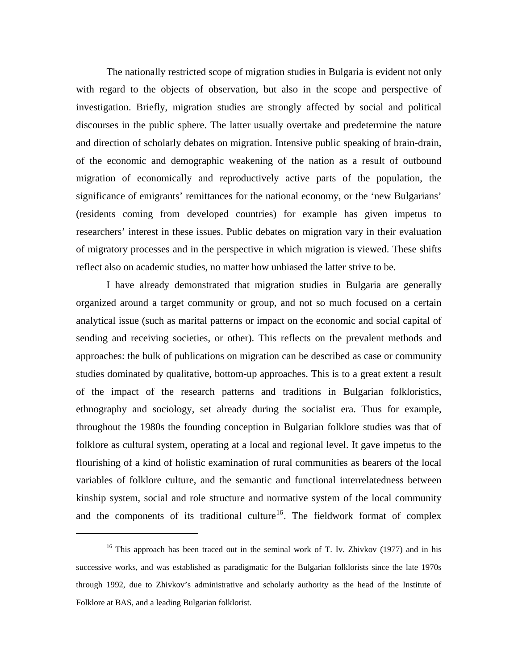The nationally restricted scope of migration studies in Bulgaria is evident not only with regard to the objects of observation, but also in the scope and perspective of investigation. Briefly, migration studies are strongly affected by social and political discourses in the public sphere. The latter usually overtake and predetermine the nature and direction of scholarly debates on migration. Intensive public speaking of brain-drain, of the economic and demographic weakening of the nation as a result of outbound migration of economically and reproductively active parts of the population, the significance of emigrants' remittances for the national economy, or the 'new Bulgarians' (residents coming from developed countries) for example has given impetus to researchers' interest in these issues. Public debates on migration vary in their evaluation of migratory processes and in the perspective in which migration is viewed. These shifts reflect also on academic studies, no matter how unbiased the latter strive to be.

I have already demonstrated that migration studies in Bulgaria are generally organized around a target community or group, and not so much focused on a certain analytical issue (such as marital patterns or impact on the economic and social capital of sending and receiving societies, or other). This reflects on the prevalent methods and approaches: the bulk of publications on migration can be described as case or community studies dominated by qualitative, bottom-up approaches. This is to a great extent a result of the impact of the research patterns and traditions in Bulgarian folkloristics, ethnography and sociology, set already during the socialist era. Thus for example, throughout the 1980s the founding conception in Bulgarian folklore studies was that of folklore as cultural system, operating at a local and regional level. It gave impetus to the flourishing of a kind of holistic examination of rural communities as bearers of the local variables of folklore culture, and the semantic and functional interrelatedness between kinship system, social and role structure and normative system of the local community and the components of its traditional culture<sup>[16](#page-12-0)</sup>. The fieldwork format of complex

<span id="page-12-0"></span><sup>&</sup>lt;sup>16</sup> This approach has been traced out in the seminal work of T. Iv. Zhivkov (1977) and in his successive works, and was established as paradigmatic for the Bulgarian folklorists since the late 1970s through 1992, due to Zhivkov's administrative and scholarly authority as the head of the Institute of Folklore at BAS, and a leading Bulgarian folklorist.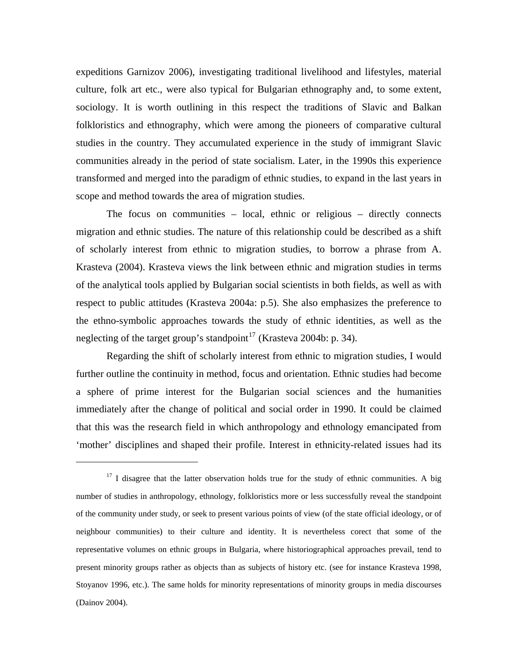expeditions Garnizov 2006), investigating traditional livelihood and lifestyles, material culture, folk art etc., were also typical for Bulgarian ethnography and, to some extent, sociology. It is worth outlining in this respect the traditions of Slavic and Balkan folkloristics and ethnography, which were among the pioneers of comparative cultural studies in the country. They accumulated experience in the study of immigrant Slavic communities already in the period of state socialism. Later, in the 1990s this experience transformed and merged into the paradigm of ethnic studies, to expand in the last years in scope and method towards the area of migration studies.

The focus on communities – local, ethnic or religious – directly connects migration and ethnic studies. The nature of this relationship could be described as a shift of scholarly interest from ethnic to migration studies, to borrow a phrase from A. Krasteva (2004). Krasteva views the link between ethnic and migration studies in terms of the analytical tools applied by Bulgarian social scientists in both fields, as well as with respect to public attitudes (Krasteva 2004a: p.5). She also emphasizes the preference to the ethno-symbolic approaches towards the study of ethnic identities, as well as the neglecting of the target group's standpoint<sup>[17](#page-13-0)</sup> (Krasteva 2004b: p. 34).

Regarding the shift of scholarly interest from ethnic to migration studies, I would further outline the continuity in method, focus and orientation. Ethnic studies had become a sphere of prime interest for the Bulgarian social sciences and the humanities immediately after the change of political and social order in 1990. It could be claimed that this was the research field in which anthropology and ethnology emancipated from 'mother' disciplines and shaped their profile. Interest in ethnicity-related issues had its

<span id="page-13-0"></span> $17$  I disagree that the latter observation holds true for the study of ethnic communities. A big number of studies in anthropology, ethnology, folkloristics more or less successfully reveal the standpoint of the community under study, or seek to present various points of view (of the state official ideology, or of neighbour communities) to their culture and identity. It is nevertheless corect that some of the representative volumes on ethnic groups in Bulgaria, where historiographical approaches prevail, tend to present minority groups rather as objects than as subjects of history etc. (see for instance Krasteva 1998, Stoyanov 1996, etc.). The same holds for minority representations of minority groups in media discourses (Dainov 2004).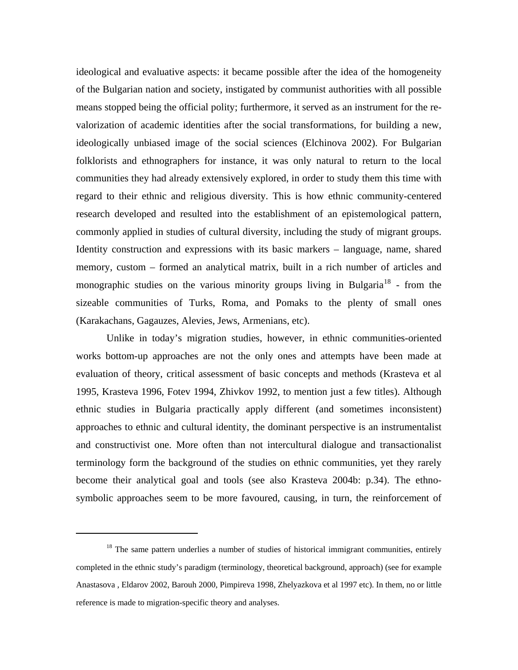ideological and evaluative aspects: it became possible after the idea of the homogeneity of the Bulgarian nation and society, instigated by communist authorities with all possible means stopped being the official polity; furthermore, it served as an instrument for the revalorization of academic identities after the social transformations, for building a new, ideologically unbiased image of the social sciences (Elchinova 2002). For Bulgarian folklorists and ethnographers for instance, it was only natural to return to the local communities they had already extensively explored, in order to study them this time with regard to their ethnic and religious diversity. This is how ethnic community-centered research developed and resulted into the establishment of an epistemological pattern, commonly applied in studies of cultural diversity, including the study of migrant groups. Identity construction and expressions with its basic markers – language, name, shared memory, custom – formed an analytical matrix, built in a rich number of articles and monographic studies on the various minority groups living in Bulgaria<sup>[18](#page-14-0)</sup> - from the sizeable communities of Turks, Roma, and Pomaks to the plenty of small ones (Karakachans, Gagauzes, Alevies, Jews, Armenians, etc).

Unlike in today's migration studies, however, in ethnic communities-oriented works bottom-up approaches are not the only ones and attempts have been made at evaluation of theory, critical assessment of basic concepts and methods (Krasteva et al 1995, Krasteva 1996, Fotev 1994, Zhivkov 1992, to mention just a few titles). Although ethnic studies in Bulgaria practically apply different (and sometimes inconsistent) approaches to ethnic and cultural identity, the dominant perspective is an instrumentalist and constructivist one. More often than not intercultural dialogue and transactionalist terminology form the background of the studies on ethnic communities, yet they rarely become their analytical goal and tools (see also Krasteva 2004b: p.34). The ethnosymbolic approaches seem to be more favoured, causing, in turn, the reinforcement of

<span id="page-14-0"></span> $18$  The same pattern underlies a number of studies of historical immigrant communities, entirely completed in the ethnic study's paradigm (terminology, theoretical background, approach) (see for example Anastasova , Eldarov 2002, Barouh 2000, Pimpireva 1998, Zhelyazkova et al 1997 etc). In them, no or little reference is made to migration-specific theory and analyses.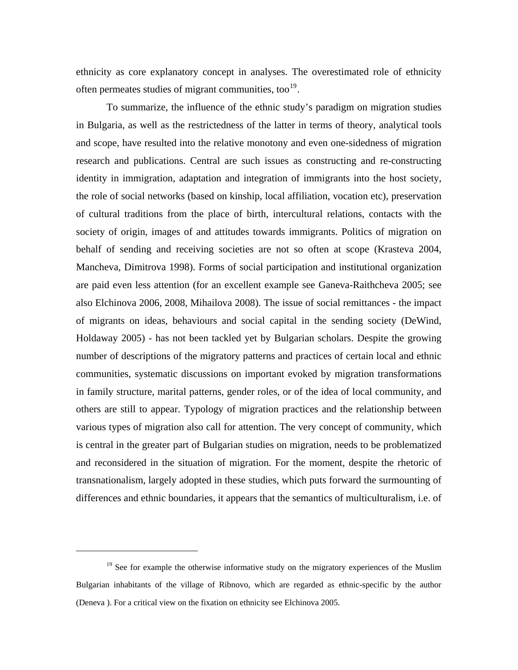ethnicity as core explanatory concept in analyses. The overestimated role of ethnicity often permeates studies of migrant communities, too $19$ .

To summarize, the influence of the ethnic study's paradigm on migration studies in Bulgaria, as well as the restrictedness of the latter in terms of theory, analytical tools and scope, have resulted into the relative monotony and even one-sidedness of migration research and publications. Central are such issues as constructing and re-constructing identity in immigration, adaptation and integration of immigrants into the host society, the role of social networks (based on kinship, local affiliation, vocation etc), preservation of cultural traditions from the place of birth, intercultural relations, contacts with the society of origin, images of and attitudes towards immigrants. Politics of migration on behalf of sending and receiving societies are not so often at scope (Krasteva 2004, Mancheva, Dimitrova 1998). Forms of social participation and institutional organization are paid even less attention (for an excellent example see Ganeva-Raithcheva 2005; see also Elchinova 2006, 2008, Mihailova 2008). The issue of social remittances - the impact of migrants on ideas, behaviours and social capital in the sending society (DeWind, Holdaway 2005) - has not been tackled yet by Bulgarian scholars. Despite the growing number of descriptions of the migratory patterns and practices of certain local and ethnic communities, systematic discussions on important evoked by migration transformations in family structure, marital patterns, gender roles, or of the idea of local community, and others are still to appear. Typology of migration practices and the relationship between various types of migration also call for attention. The very concept of community, which is central in the greater part of Bulgarian studies on migration, needs to be problematized and reconsidered in the situation of migration. For the moment, despite the rhetoric of transnationalism, largely adopted in these studies, which puts forward the surmounting of differences and ethnic boundaries, it appears that the semantics of multiculturalism, i.e. of

<span id="page-15-0"></span><sup>&</sup>lt;sup>19</sup> See for example the otherwise informative study on the migratory experiences of the Muslim Bulgarian inhabitants of the village of Ribnovo, which are regarded as ethnic-specific by the author (Deneva ). For a critical view on the fixation on ethnicity see Elchinova 2005.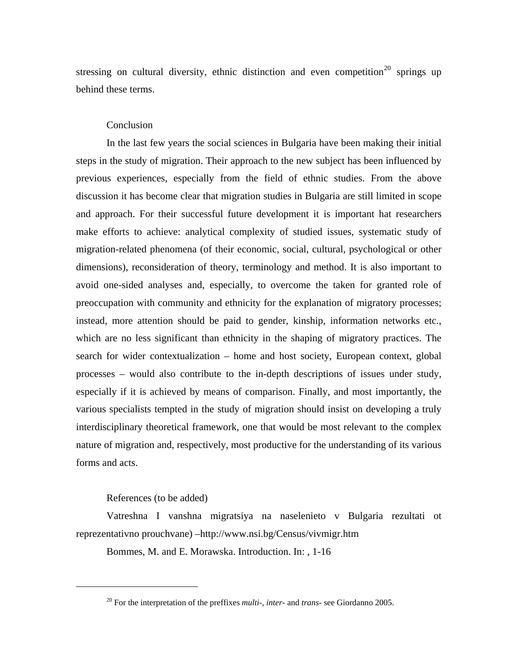stressing on cultural diversity, ethnic distinction and even competition<sup>[20](#page-16-0)</sup> springs up behind these terms.

### **Conclusion**

In the last few years the social sciences in Bulgaria have been making their initial steps in the study of migration. Their approach to the new subject has been influenced by previous experiences, especially from the field of ethnic studies. From the above discussion it has become clear that migration studies in Bulgaria are still limited in scope and approach. For their successful future development it is important hat researchers make efforts to achieve: analytical complexity of studied issues, systematic study of migration-related phenomena (of their economic, social, cultural, psychological or other dimensions), reconsideration of theory, terminology and method. It is also important to avoid one-sided analyses and, especially, to overcome the taken for granted role of preoccupation with community and ethnicity for the explanation of migratory processes; instead, more attention should be paid to gender, kinship, information networks etc., which are no less significant than ethnicity in the shaping of migratory practices. The search for wider contextualization – home and host society, European context, global processes – would also contribute to the in-depth descriptions of issues under study, especially if it is achieved by means of comparison. Finally, and most importantly, the various specialists tempted in the study of migration should insist on developing a truly interdisciplinary theoretical framework, one that would be most relevant to the complex nature of migration and, respectively, most productive for the understanding of its various forms and acts.

## References (to be added)

<span id="page-16-0"></span> $\overline{a}$ 

Vatreshna I vanshna migratsiya na naselenieto v Bulgaria rezultati ot reprezentativno prouchvane) –http://www.nsi.bg/Census/vivmigr.htm

Bommes, M. and E. Morawska. Introduction. In: , 1-16

<sup>20</sup> For the interpretation of the preffixes *multi-*, *inter-* and *trans-* see Giordanno 2005.